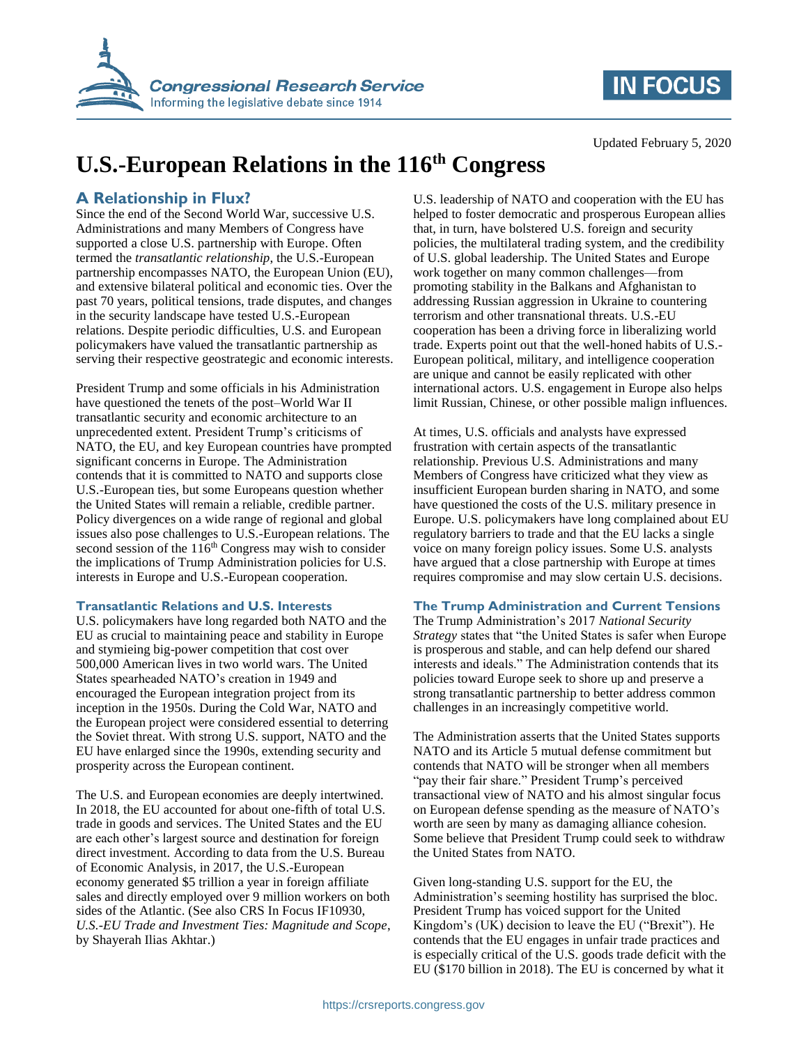

# **IN FOCUS**

Updated February 5, 2020

# **U.S.-European Relations in the 116th Congress**

## **A Relationship in Flux?**

Since the end of the Second World War, successive U.S. Administrations and many Members of Congress have supported a close U.S. partnership with Europe. Often termed the *transatlantic relationship*, the U.S.-European partnership encompasses NATO, the European Union (EU), and extensive bilateral political and economic ties. Over the past 70 years, political tensions, trade disputes, and changes in the security landscape have tested U.S.-European relations. Despite periodic difficulties, U.S. and European policymakers have valued the transatlantic partnership as serving their respective geostrategic and economic interests.

President Trump and some officials in his Administration have questioned the tenets of the post–World War II transatlantic security and economic architecture to an unprecedented extent. President Trump's criticisms of NATO, the EU, and key European countries have prompted significant concerns in Europe. The Administration contends that it is committed to NATO and supports close U.S.-European ties, but some Europeans question whether the United States will remain a reliable, credible partner. Policy divergences on a wide range of regional and global issues also pose challenges to U.S.-European relations. The second session of the 116<sup>th</sup> Congress may wish to consider the implications of Trump Administration policies for U.S. interests in Europe and U.S.-European cooperation.

### **Transatlantic Relations and U.S. Interests**

U.S. policymakers have long regarded both NATO and the EU as crucial to maintaining peace and stability in Europe and stymieing big-power competition that cost over 500,000 American lives in two world wars. The United States spearheaded NATO's creation in 1949 and encouraged the European integration project from its inception in the 1950s. During the Cold War, NATO and the European project were considered essential to deterring the Soviet threat. With strong U.S. support, NATO and the EU have enlarged since the 1990s, extending security and prosperity across the European continent.

The U.S. and European economies are deeply intertwined. In 2018, the EU accounted for about one-fifth of total U.S. trade in goods and services. The United States and the EU are each other's largest source and destination for foreign direct investment. According to data from the U.S. Bureau of Economic Analysis, in 2017, the U.S.-European economy generated \$5 trillion a year in foreign affiliate sales and directly employed over 9 million workers on both sides of the Atlantic. (See also CRS In Focus IF10930, *U.S.-EU Trade and Investment Ties: Magnitude and Scope*, by Shayerah Ilias Akhtar.)

U.S. leadership of NATO and cooperation with the EU has helped to foster democratic and prosperous European allies that, in turn, have bolstered U.S. foreign and security policies, the multilateral trading system, and the credibility of U.S. global leadership. The United States and Europe work together on many common challenges—from promoting stability in the Balkans and Afghanistan to addressing Russian aggression in Ukraine to countering terrorism and other transnational threats. U.S.-EU cooperation has been a driving force in liberalizing world trade. Experts point out that the well-honed habits of U.S.- European political, military, and intelligence cooperation are unique and cannot be easily replicated with other international actors. U.S. engagement in Europe also helps limit Russian, Chinese, or other possible malign influences.

At times, U.S. officials and analysts have expressed frustration with certain aspects of the transatlantic relationship. Previous U.S. Administrations and many Members of Congress have criticized what they view as insufficient European burden sharing in NATO, and some have questioned the costs of the U.S. military presence in Europe. U.S. policymakers have long complained about EU regulatory barriers to trade and that the EU lacks a single voice on many foreign policy issues. Some U.S. analysts have argued that a close partnership with Europe at times requires compromise and may slow certain U.S. decisions.

### **The Trump Administration and Current Tensions**

The Trump Administration's 2017 *National Security Strategy* states that "the United States is safer when Europe is prosperous and stable, and can help defend our shared interests and ideals." The Administration contends that its policies toward Europe seek to shore up and preserve a strong transatlantic partnership to better address common challenges in an increasingly competitive world.

The Administration asserts that the United States supports NATO and its Article 5 mutual defense commitment but contends that NATO will be stronger when all members "pay their fair share." President Trump's perceived transactional view of NATO and his almost singular focus on European defense spending as the measure of NATO's worth are seen by many as damaging alliance cohesion. Some believe that President Trump could seek to withdraw the United States from NATO.

Given long-standing U.S. support for the EU, the Administration's seeming hostility has surprised the bloc. President Trump has voiced support for the United Kingdom's (UK) decision to leave the EU ("Brexit"). He contends that the EU engages in unfair trade practices and is especially critical of the U.S. goods trade deficit with the EU (\$170 billion in 2018). The EU is concerned by what it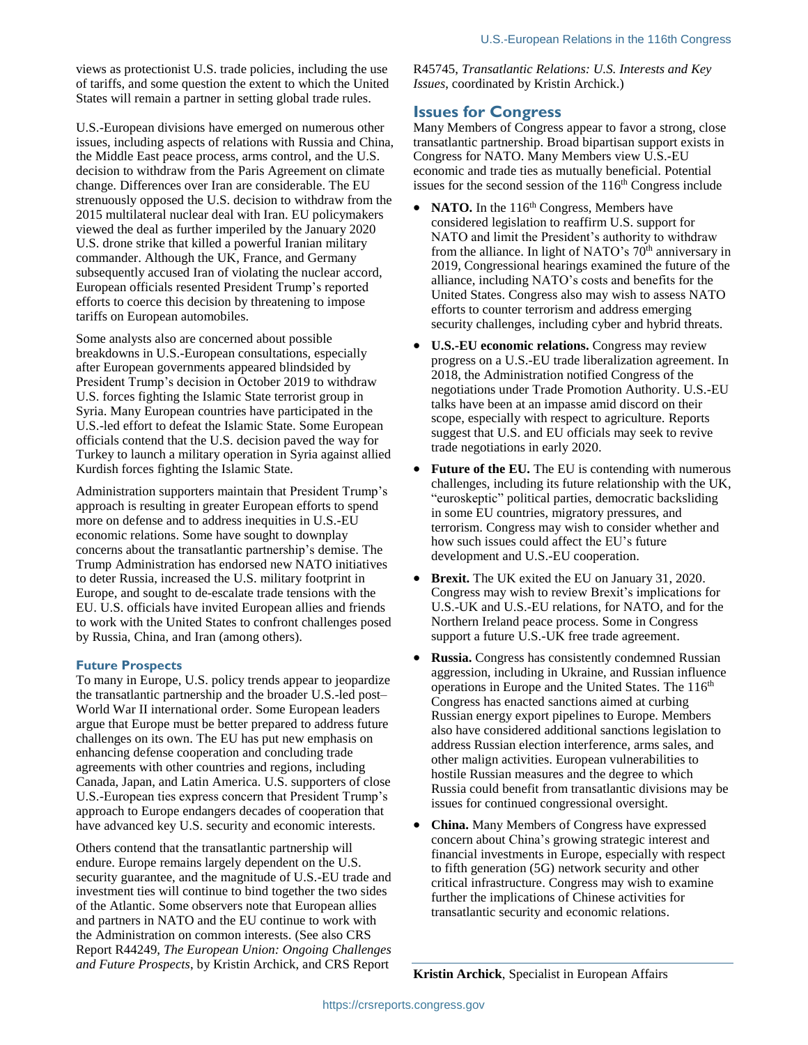views as protectionist U.S. trade policies, including the use of tariffs, and some question the extent to which the United States will remain a partner in setting global trade rules.

U.S.-European divisions have emerged on numerous other issues, including aspects of relations with Russia and China, the Middle East peace process, arms control, and the U.S. decision to withdraw from the Paris Agreement on climate change. Differences over Iran are considerable. The EU strenuously opposed the U.S. decision to withdraw from the 2015 multilateral nuclear deal with Iran. EU policymakers viewed the deal as further imperiled by the January 2020 U.S. drone strike that killed a powerful Iranian military commander. Although the UK, France, and Germany subsequently accused Iran of violating the nuclear accord, European officials resented President Trump's reported efforts to coerce this decision by threatening to impose tariffs on European automobiles.

Some analysts also are concerned about possible breakdowns in U.S.-European consultations, especially after European governments appeared blindsided by President Trump's decision in October 2019 to withdraw U.S. forces fighting the Islamic State terrorist group in Syria. Many European countries have participated in the U.S.-led effort to defeat the Islamic State. Some European officials contend that the U.S. decision paved the way for Turkey to launch a military operation in Syria against allied Kurdish forces fighting the Islamic State.

Administration supporters maintain that President Trump's approach is resulting in greater European efforts to spend more on defense and to address inequities in U.S.-EU economic relations. Some have sought to downplay concerns about the transatlantic partnership's demise. The Trump Administration has endorsed new NATO initiatives to deter Russia, increased the U.S. military footprint in Europe, and sought to de-escalate trade tensions with the EU. U.S. officials have invited European allies and friends to work with the United States to confront challenges posed by Russia, China, and Iran (among others).

#### **Future Prospects**

To many in Europe, U.S. policy trends appear to jeopardize the transatlantic partnership and the broader U.S.-led post– World War II international order. Some European leaders argue that Europe must be better prepared to address future challenges on its own. The EU has put new emphasis on enhancing defense cooperation and concluding trade agreements with other countries and regions, including Canada, Japan, and Latin America. U.S. supporters of close U.S.-European ties express concern that President Trump's approach to Europe endangers decades of cooperation that have advanced key U.S. security and economic interests.

Others contend that the transatlantic partnership will endure. Europe remains largely dependent on the U.S. security guarantee, and the magnitude of U.S.-EU trade and investment ties will continue to bind together the two sides of the Atlantic. Some observers note that European allies and partners in NATO and the EU continue to work with the Administration on common interests. (See also CRS Report R44249, *The European Union: Ongoing Challenges and Future Prospects*, by Kristin Archick, and CRS Report

R45745, *Transatlantic Relations: U.S. Interests and Key Issues*, coordinated by Kristin Archick.)

### **Issues for Congress**

Many Members of Congress appear to favor a strong, close transatlantic partnership. Broad bipartisan support exists in Congress for NATO. Many Members view U.S.-EU economic and trade ties as mutually beneficial. Potential issues for the second session of the  $116<sup>th</sup>$  Congress include

- NATO. In the 116<sup>th</sup> Congress, Members have considered legislation to reaffirm U.S. support for NATO and limit the President's authority to withdraw from the alliance. In light of NATO's 70<sup>th</sup> anniversary in 2019, Congressional hearings examined the future of the alliance, including NATO's costs and benefits for the United States. Congress also may wish to assess NATO efforts to counter terrorism and address emerging security challenges, including cyber and hybrid threats.
- **U.S.-EU economic relations.** Congress may review progress on a U.S.-EU trade liberalization agreement. In 2018, the Administration notified Congress of the negotiations under Trade Promotion Authority. U.S.-EU talks have been at an impasse amid discord on their scope, especially with respect to agriculture. Reports suggest that U.S. and EU officials may seek to revive trade negotiations in early 2020.
- **Future of the EU.** The EU is contending with numerous challenges, including its future relationship with the UK, "euroskeptic" political parties, democratic backsliding in some EU countries, migratory pressures, and terrorism. Congress may wish to consider whether and how such issues could affect the EU's future development and U.S.-EU cooperation.
- **Brexit.** The UK exited the EU on January 31, 2020. Congress may wish to review Brexit's implications for U.S.-UK and U.S.-EU relations, for NATO, and for the Northern Ireland peace process. Some in Congress support a future U.S.-UK free trade agreement.
- **Russia.** Congress has consistently condemned Russian aggression, including in Ukraine, and Russian influence operations in Europe and the United States. The 116<sup>th</sup> Congress has enacted sanctions aimed at curbing Russian energy export pipelines to Europe. Members also have considered additional sanctions legislation to address Russian election interference, arms sales, and other malign activities. European vulnerabilities to hostile Russian measures and the degree to which Russia could benefit from transatlantic divisions may be issues for continued congressional oversight.
- **China.** Many Members of Congress have expressed concern about China's growing strategic interest and financial investments in Europe, especially with respect to fifth generation (5G) network security and other critical infrastructure. Congress may wish to examine further the implications of Chinese activities for transatlantic security and economic relations.